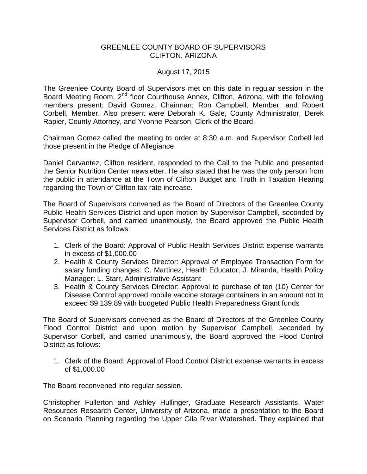## GREENLEE COUNTY BOARD OF SUPERVISORS CLIFTON, ARIZONA

## August 17, 2015

The Greenlee County Board of Supervisors met on this date in regular session in the Board Meeting Room, 2<sup>nd</sup> floor Courthouse Annex, Clifton, Arizona, with the following members present: David Gomez, Chairman; Ron Campbell, Member; and Robert Corbell, Member. Also present were Deborah K. Gale, County Administrator, Derek Rapier, County Attorney, and Yvonne Pearson, Clerk of the Board.

Chairman Gomez called the meeting to order at 8:30 a.m. and Supervisor Corbell led those present in the Pledge of Allegiance.

Daniel Cervantez, Clifton resident, responded to the Call to the Public and presented the Senior Nutrition Center newsletter. He also stated that he was the only person from the public in attendance at the Town of Clifton Budget and Truth in Taxation Hearing regarding the Town of Clifton tax rate increase.

The Board of Supervisors convened as the Board of Directors of the Greenlee County Public Health Services District and upon motion by Supervisor Campbell, seconded by Supervisor Corbell, and carried unanimously, the Board approved the Public Health Services District as follows:

- 1. Clerk of the Board: Approval of Public Health Services District expense warrants in excess of \$1,000.00
- 2. Health & County Services Director: Approval of Employee Transaction Form for salary funding changes: C. Martinez, Health Educator; J. Miranda, Health Policy Manager; L. Starr, Administrative Assistant
- 3. Health & County Services Director: Approval to purchase of ten (10) Center for Disease Control approved mobile vaccine storage containers in an amount not to exceed \$9,139.89 with budgeted Public Health Preparedness Grant funds

The Board of Supervisors convened as the Board of Directors of the Greenlee County Flood Control District and upon motion by Supervisor Campbell, seconded by Supervisor Corbell, and carried unanimously, the Board approved the Flood Control District as follows:

1. Clerk of the Board: Approval of Flood Control District expense warrants in excess of \$1,000.00

The Board reconvened into regular session.

Christopher Fullerton and Ashley Hullinger, Graduate Research Assistants, Water Resources Research Center, University of Arizona, made a presentation to the Board on Scenario Planning regarding the Upper Gila River Watershed. They explained that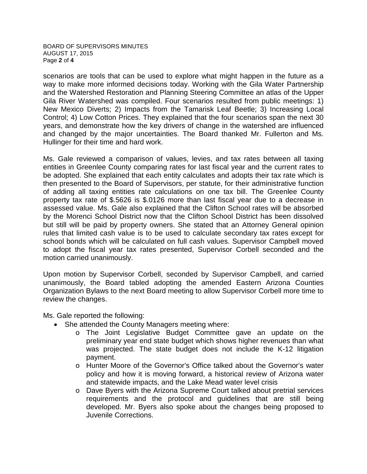BOARD OF SUPERVISORS MINUTES AUGUST 17, 2015 Page **2** of **4**

scenarios are tools that can be used to explore what might happen in the future as a way to make more informed decisions today. Working with the Gila Water Partnership and the Watershed Restoration and Planning Steering Committee an atlas of the Upper Gila River Watershed was compiled. Four scenarios resulted from public meetings: 1) New Mexico Diverts; 2) Impacts from the Tamarisk Leaf Beetle; 3) Increasing Local Control; 4) Low Cotton Prices. They explained that the four scenarios span the next 30 years, and demonstrate how the key drivers of change in the watershed are influenced and changed by the major uncertainties. The Board thanked Mr. Fullerton and Ms. Hullinger for their time and hard work.

Ms. Gale reviewed a comparison of values, levies, and tax rates between all taxing entities in Greenlee County comparing rates for last fiscal year and the current rates to be adopted. She explained that each entity calculates and adopts their tax rate which is then presented to the Board of Supervisors, per statute, for their administrative function of adding all taxing entities rate calculations on one tax bill. The Greenlee County property tax rate of \$.5626 is \$.0126 more than last fiscal year due to a decrease in assessed value. Ms. Gale also explained that the Clifton School rates will be absorbed by the Morenci School District now that the Clifton School District has been dissolved but still will be paid by property owners. She stated that an Attorney General opinion rules that limited cash value is to be used to calculate secondary tax rates except for school bonds which will be calculated on full cash values. Supervisor Campbell moved to adopt the fiscal year tax rates presented, Supervisor Corbell seconded and the motion carried unanimously.

Upon motion by Supervisor Corbell, seconded by Supervisor Campbell, and carried unanimously, the Board tabled adopting the amended Eastern Arizona Counties Organization Bylaws to the next Board meeting to allow Supervisor Corbell more time to review the changes.

Ms. Gale reported the following:

- She attended the County Managers meeting where:
	- o The Joint Legislative Budget Committee gave an update on the preliminary year end state budget which shows higher revenues than what was projected. The state budget does not include the K-12 litigation payment.
	- o Hunter Moore of the Governor's Office talked about the Governor's water policy and how it is moving forward, a historical review of Arizona water and statewide impacts, and the Lake Mead water level crisis
	- o Dave Byers with the Arizona Supreme Court talked about pretrial services requirements and the protocol and guidelines that are still being developed. Mr. Byers also spoke about the changes being proposed to Juvenile Corrections.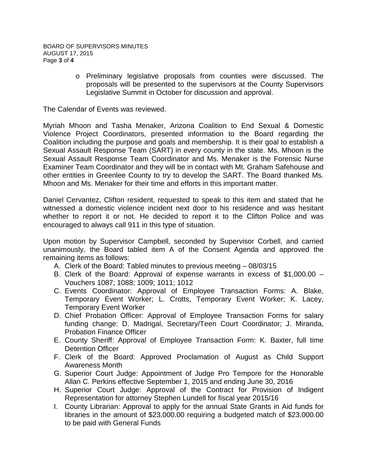o Preliminary legislative proposals from counties were discussed. The proposals will be presented to the supervisors at the County Supervisors Legislative Summit in October for discussion and approval.

The Calendar of Events was reviewed.

Myriah Mhoon and Tasha Menaker, Arizona Coalition to End Sexual & Domestic Violence Project Coordinators, presented information to the Board regarding the Coalition including the purpose and goals and membership. It is their goal to establish a Sexual Assault Response Team (SART) in every county in the state. Ms. Mhoon is the Sexual Assault Response Team Coordinator and Ms. Menaker is the Forensic Nurse Examiner Team Coordinator and they will be in contact with Mt. Graham Safehouse and other entities in Greenlee County to try to develop the SART. The Board thanked Ms. Mhoon and Ms. Menaker for their time and efforts in this important matter.

Daniel Cervantez, Clifton resident, requested to speak to this item and stated that he witnessed a domestic violence incident next door to his residence and was hesitant whether to report it or not. He decided to report it to the Clifton Police and was encouraged to always call 911 in this type of situation.

Upon motion by Supervisor Campbell, seconded by Supervisor Corbell, and carried unanimously, the Board tabled item A of the Consent Agenda and approved the remaining items as follows:

- A. Clerk of the Board: Tabled minutes to previous meeting 08/03/15
- B. Clerk of the Board: Approval of expense warrants in excess of \$1,000.00 Vouchers 1087; 1088; 1009; 1011; 1012
- C. Events Coordinator: Approval of Employee Transaction Forms: A. Blake, Temporary Event Worker; L. Crotts, Temporary Event Worker; K. Lacey, Temporary Event Worker
- D. Chief Probation Officer: Approval of Employee Transaction Forms for salary funding change: D. Madrigal, Secretary/Teen Court Coordinator; J. Miranda, Probation Finance Officer
- E. County Sheriff: Approval of Employee Transaction Form: K. Baxter, full time Detention Officer
- F. Clerk of the Board: Approved Proclamation of August as Child Support Awareness Month
- G. Superior Court Judge: Appointment of Judge Pro Tempore for the Honorable Allan C. Perkins effective September 1, 2015 and ending June 30, 2016
- H. Superior Court Judge: Approval of the Contract for Provision of Indigent Representation for attorney Stephen Lundell for fiscal year 2015/16
- I. County Librarian: Approval to apply for the annual State Grants in Aid funds for libraries in the amount of \$23,000.00 requiring a budgeted match of \$23,000.00 to be paid with General Funds